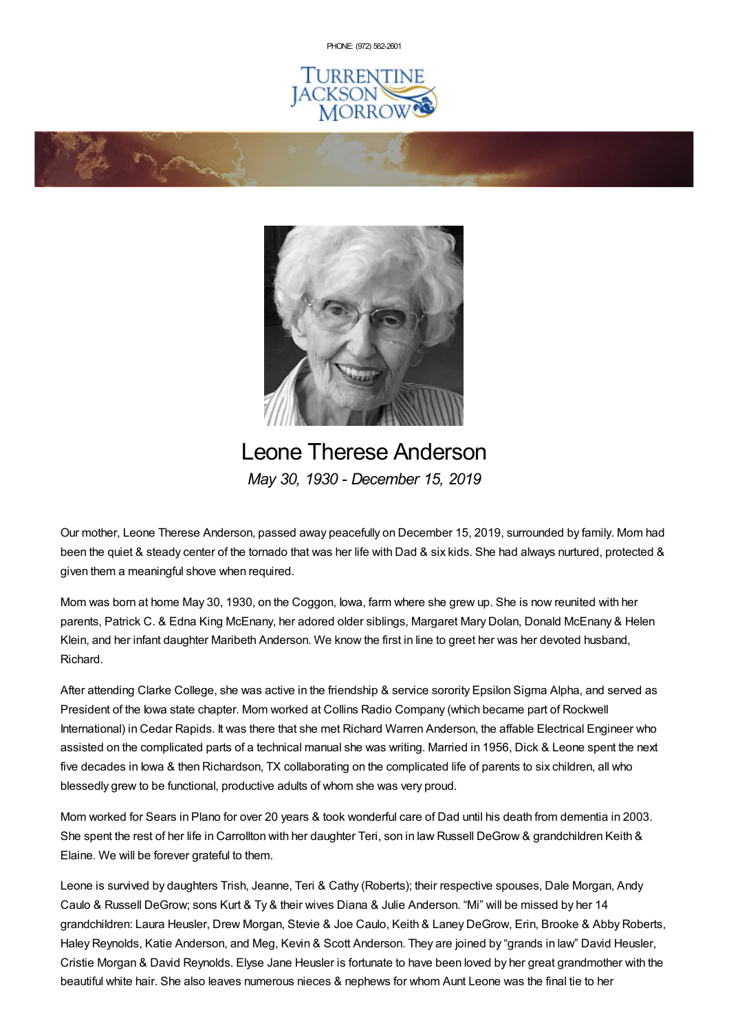PHONE: (972) [562-2601](tel:(972) 562-2601)





## Leone Therese Anderson *May 30, 1930 - December 15, 2019*

Our mother, Leone Therese Anderson, passed away peacefully on December 15, 2019, surrounded by family. Mom had been the quiet & steady center of the tornado that was her life with Dad & six kids. She had always nurtured, protected & given them a meaningful shove when required.

Mom was born at home May 30, 1930, on the Coggon, Iowa, farm where she grew up. She is now reunited with her parents, Patrick C. & Edna King McEnany, her adored older siblings, Margaret Mary Dolan, Donald McEnany & Helen Klein, and her infant daughter Maribeth Anderson. We know the first in line to greet her was her devoted husband, Richard.

After attending Clarke College, she was active in the friendship & service sorority Epsilon Sigma Alpha, and served as President of the Iowa state chapter. Mom worked at Collins Radio Company (which became part of Rockwell International) in Cedar Rapids. It was there that she met Richard Warren Anderson, the affable Electrical Engineer who assisted on the complicated parts of a technical manual she was writing. Married in 1956, Dick & Leone spent the next five decades in Iowa & then Richardson, TX collaborating on the complicated life of parents to six children, all who blessedly grew to be functional, productive adults of whom she was very proud.

Mom worked for Sears in Plano for over 20 years & took wonderful care of Dad until his death from dementia in 2003. She spent the rest of her life in Carrollton with her daughter Teri, son in law Russell DeGrow & grandchildren Keith & Elaine. We will be forever grateful to them.

Leone is survived by daughters Trish, Jeanne, Teri & Cathy (Roberts); their respective spouses, Dale Morgan, Andy Caulo & Russell DeGrow; sons Kurt & Ty & their wives Diana & Julie Anderson. "Mi" will be missed by her 14 grandchildren: Laura Heusler, Drew Morgan, Stevie & Joe Caulo, Keith & Laney DeGrow, Erin, Brooke & Abby Roberts, Haley Reynolds, Katie Anderson, and Meg, Kevin & Scott Anderson. They are joined by "grands in law" David Heusler, Cristie Morgan & David Reynolds. Elyse Jane Heusler is fortunate to have been loved by her great grandmother with the beautiful white hair. She also leaves numerous nieces & nephews for whom Aunt Leone was the final tie to her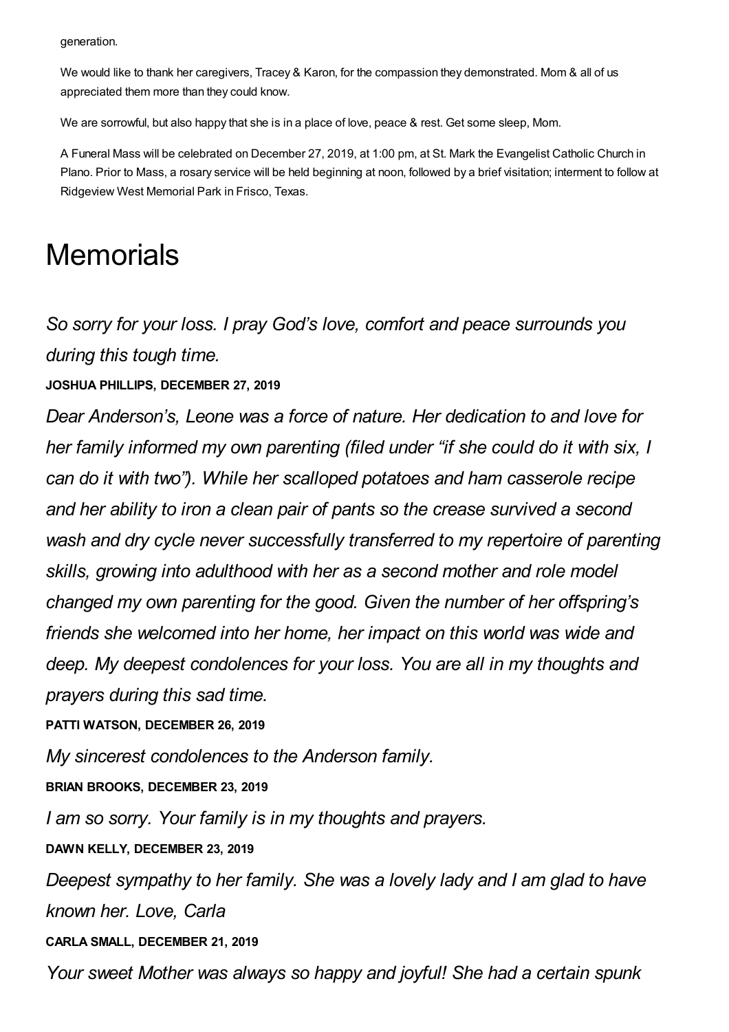generation.

We would like to thank her caregivers, Tracey & Karon, for the compassion they demonstrated. Mom & all of us appreciated them more than they could know.

We are sorrowful, but also happy that she is in a place of love, peace & rest. Get some sleep, Mom.

A Funeral Mass will be celebrated on December 27, 2019, at 1:00 pm, at St. Mark the Evangelist Catholic Church in Plano. Prior to Mass, a rosary service will be held beginning at noon, followed by a brief visitation; interment to follow at Ridgeview West Memorial Park in Frisco, Texas.

## **Memorials**

*So sorry for your loss. I pray God's love, comfort and peace surrounds you during this tough time.*

## **JOSHUA PHILLIPS, DECEMBER 27, 2019**

*Dear Anderson's, Leone was a force of nature. Her dedication to and love for her family informed my own parenting (filed under "if she could do it with six, I can do it with two"). While her scalloped potatoes and ham casserole recipe and her ability to iron a clean pair of pants so the crease survived a second wash and dry cycle never successfully transferred to my repertoire of parenting skills, growing into adulthood with her as a second mother and role model changed my own parenting for the good. Given the number of her offspring's friends she welcomed into her home, her impact on this world was wide and deep. My deepest condolences for your loss. You are all in my thoughts and prayers during this sad time.*

**PATTI WATSON, DECEMBER 26, 2019**

*My sincerest condolences to the Anderson family.*

**BRIAN BROOKS, DECEMBER 23, 2019**

*I am so sorry. Your family is in my thoughts and prayers.*

**DAWN KELLY, DECEMBER 23, 2019**

*Deepest sympathy to her family. She was a lovely lady and I am glad to have known her. Love, Carla*

**CARLA SMALL, DECEMBER 21, 2019**

*Your sweet Mother was always so happy and joyful! She had a certain spunk*